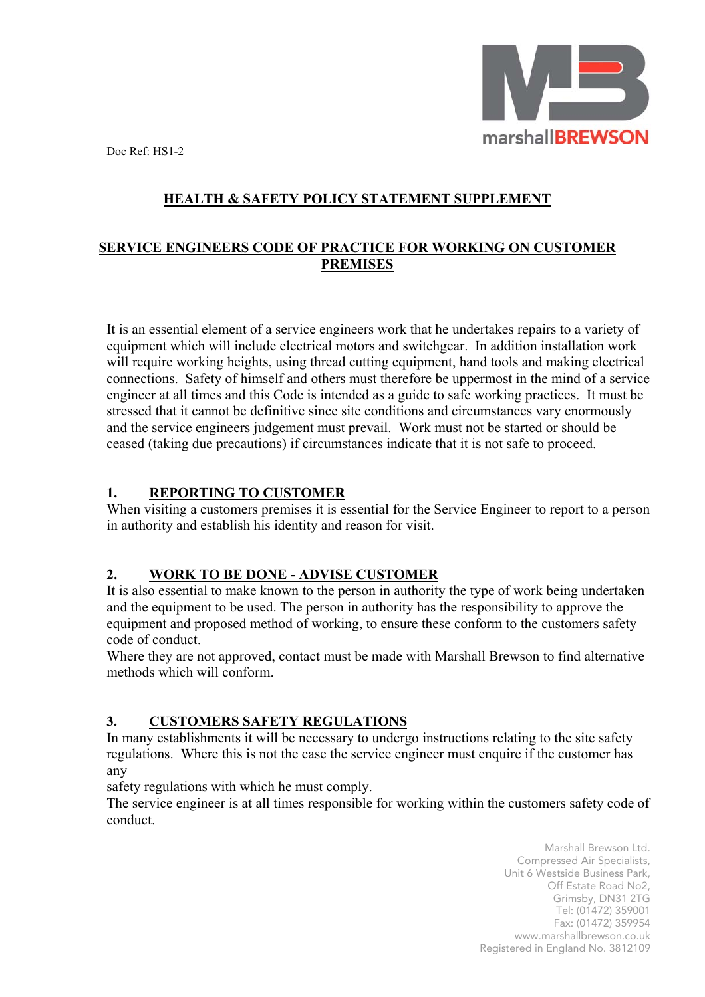

Doc Ref: HS1-2

# **HEALTH & SAFETY POLICY STATEMENT SUPPLEMENT**

#### **SERVICE ENGINEERS CODE OF PRACTICE FOR WORKING ON CUSTOMER PREMISES**

It is an essential element of a service engineers work that he undertakes repairs to a variety of equipment which will include electrical motors and switchgear. In addition installation work will require working heights, using thread cutting equipment, hand tools and making electrical connections. Safety of himself and others must therefore be uppermost in the mind of a service engineer at all times and this Code is intended as a guide to safe working practices. It must be stressed that it cannot be definitive since site conditions and circumstances vary enormously and the service engineers judgement must prevail. Work must not be started or should be ceased (taking due precautions) if circumstances indicate that it is not safe to proceed.

### **1. REPORTING TO CUSTOMER**

When visiting a customers premises it is essential for the Service Engineer to report to a person in authority and establish his identity and reason for visit.

### **2. WORK TO BE DONE - ADVISE CUSTOMER**

It is also essential to make known to the person in authority the type of work being undertaken and the equipment to be used. The person in authority has the responsibility to approve the equipment and proposed method of working, to ensure these conform to the customers safety code of conduct.

Where they are not approved, contact must be made with Marshall Brewson to find alternative methods which will conform.

### **3. CUSTOMERS SAFETY REGULATIONS**

In many establishments it will be necessary to undergo instructions relating to the site safety regulations. Where this is not the case the service engineer must enquire if the customer has any

safety regulations with which he must comply.

 The service engineer is at all times responsible for working within the customers safety code of conduct.

> Marshall Brewson Ltd. Compressed Air Specialists, Unit 6 Westside Business Park, Off Estate Road No2, Grimsby, DN31 2TG Tel: (01472) 359001 Fax: (01472) 359954 www.marshallbrewson.co.uk Registered in England No. 3812109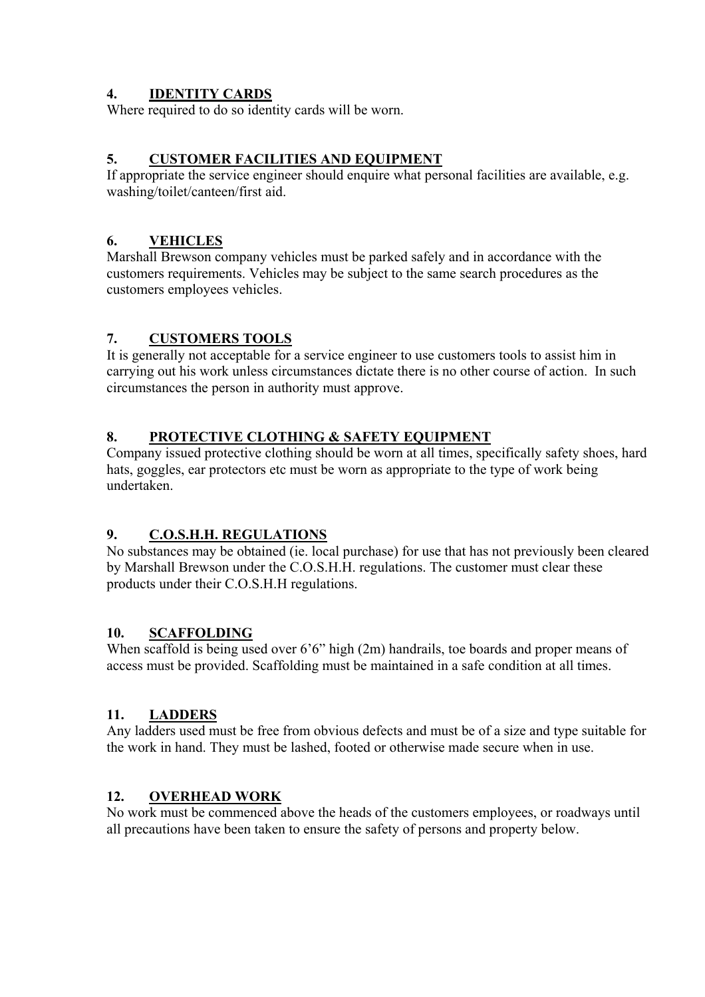### **4. IDENTITY CARDS**

Where required to do so identity cards will be worn.

### **5. CUSTOMER FACILITIES AND EQUIPMENT**

If appropriate the service engineer should enquire what personal facilities are available, e.g. washing/toilet/canteen/first aid.

### **6. VEHICLES**

Marshall Brewson company vehicles must be parked safely and in accordance with the customers requirements. Vehicles may be subject to the same search procedures as the customers employees vehicles.

### **7. CUSTOMERS TOOLS**

It is generally not acceptable for a service engineer to use customers tools to assist him in carrying out his work unless circumstances dictate there is no other course of action. In such circumstances the person in authority must approve.

### **8. PROTECTIVE CLOTHING & SAFETY EQUIPMENT**

Company issued protective clothing should be worn at all times, specifically safety shoes, hard hats, goggles, ear protectors etc must be worn as appropriate to the type of work being undertaken.

### **9. C.O.S.H.H. REGULATIONS**

No substances may be obtained (ie. local purchase) for use that has not previously been cleared by Marshall Brewson under the C.O.S.H.H. regulations. The customer must clear these products under their C.O.S.H.H regulations.

### **10. SCAFFOLDING**

When scaffold is being used over 6'6" high (2m) handrails, toe boards and proper means of access must be provided. Scaffolding must be maintained in a safe condition at all times.

### **11. LADDERS**

Any ladders used must be free from obvious defects and must be of a size and type suitable for the work in hand. They must be lashed, footed or otherwise made secure when in use.

### **12. OVERHEAD WORK**

No work must be commenced above the heads of the customers employees, or roadways until all precautions have been taken to ensure the safety of persons and property below.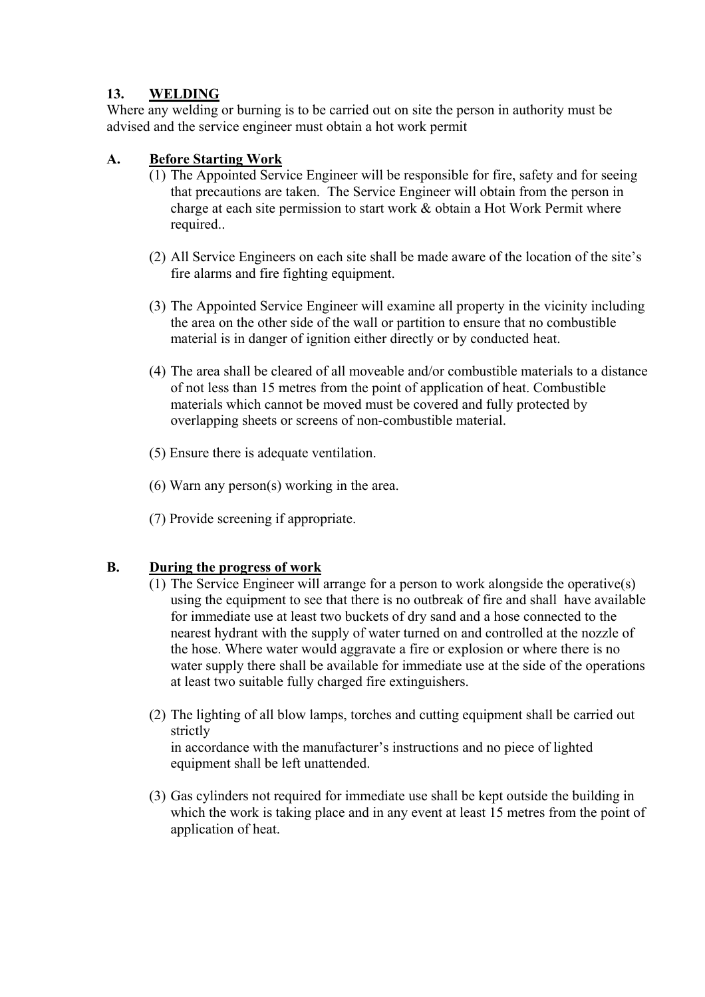### **13. WELDING**

Where any welding or burning is to be carried out on site the person in authority must be advised and the service engineer must obtain a hot work permit

#### **A. Before Starting Work**

- (1) The Appointed Service Engineer will be responsible for fire, safety and for seeing that precautions are taken. The Service Engineer will obtain from the person in charge at each site permission to start work & obtain a Hot Work Permit where required..
- (2) All Service Engineers on each site shall be made aware of the location of the site's fire alarms and fire fighting equipment.
- (3) The Appointed Service Engineer will examine all property in the vicinity including the area on the other side of the wall or partition to ensure that no combustible material is in danger of ignition either directly or by conducted heat.
- (4) The area shall be cleared of all moveable and/or combustible materials to a distance of not less than 15 metres from the point of application of heat. Combustible materials which cannot be moved must be covered and fully protected by overlapping sheets or screens of non-combustible material.
- (5) Ensure there is adequate ventilation.
- (6) Warn any person(s) working in the area.
- (7) Provide screening if appropriate.

#### **B. During the progress of work**

- (1) The Service Engineer will arrange for a person to work alongside the operative(s) using the equipment to see that there is no outbreak of fire and shall have available for immediate use at least two buckets of dry sand and a hose connected to the nearest hydrant with the supply of water turned on and controlled at the nozzle of the hose. Where water would aggravate a fire or explosion or where there is no water supply there shall be available for immediate use at the side of the operations at least two suitable fully charged fire extinguishers.
- (2) The lighting of all blow lamps, torches and cutting equipment shall be carried out strictly

in accordance with the manufacturer's instructions and no piece of lighted equipment shall be left unattended.

(3) Gas cylinders not required for immediate use shall be kept outside the building in which the work is taking place and in any event at least 15 metres from the point of application of heat.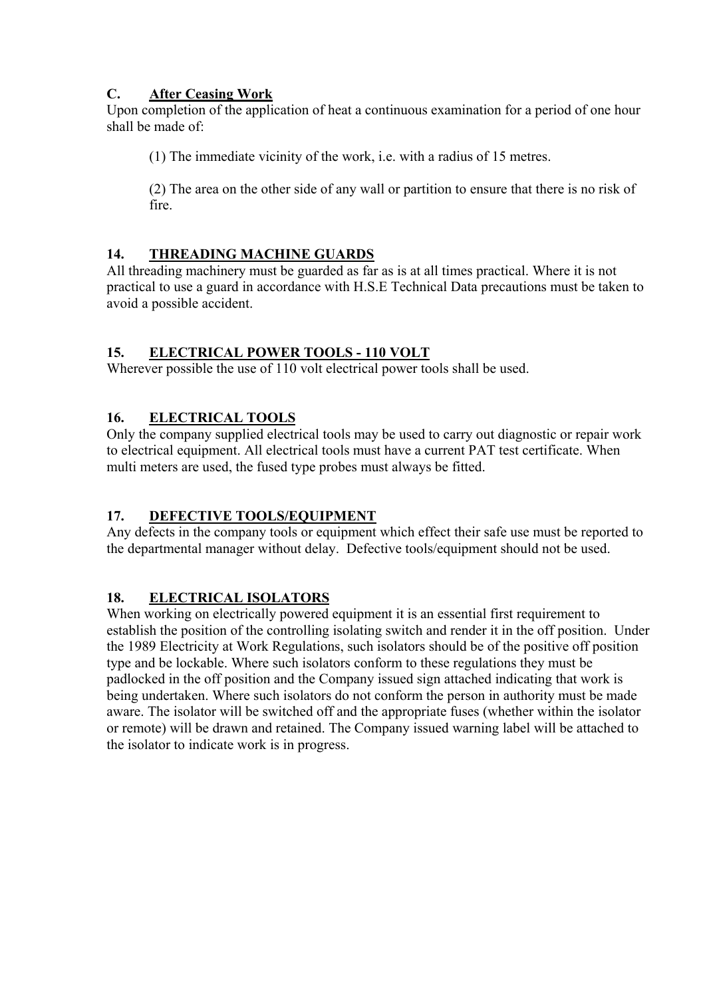### **C. After Ceasing Work**

Upon completion of the application of heat a continuous examination for a period of one hour shall be made of:

(1) The immediate vicinity of the work, i.e. with a radius of 15 metres.

(2) The area on the other side of any wall or partition to ensure that there is no risk of fire.

### **14. THREADING MACHINE GUARDS**

All threading machinery must be guarded as far as is at all times practical. Where it is not practical to use a guard in accordance with H.S.E Technical Data precautions must be taken to avoid a possible accident.

### **15. ELECTRICAL POWER TOOLS - 110 VOLT**

Wherever possible the use of 110 volt electrical power tools shall be used.

### **16. ELECTRICAL TOOLS**

Only the company supplied electrical tools may be used to carry out diagnostic or repair work to electrical equipment. All electrical tools must have a current PAT test certificate. When multi meters are used, the fused type probes must always be fitted.

# **17. DEFECTIVE TOOLS/EQUIPMENT**

Any defects in the company tools or equipment which effect their safe use must be reported to the departmental manager without delay. Defective tools/equipment should not be used.

# **18. ELECTRICAL ISOLATORS**

When working on electrically powered equipment it is an essential first requirement to establish the position of the controlling isolating switch and render it in the off position. Under the 1989 Electricity at Work Regulations, such isolators should be of the positive off position type and be lockable. Where such isolators conform to these regulations they must be padlocked in the off position and the Company issued sign attached indicating that work is being undertaken. Where such isolators do not conform the person in authority must be made aware. The isolator will be switched off and the appropriate fuses (whether within the isolator or remote) will be drawn and retained. The Company issued warning label will be attached to the isolator to indicate work is in progress.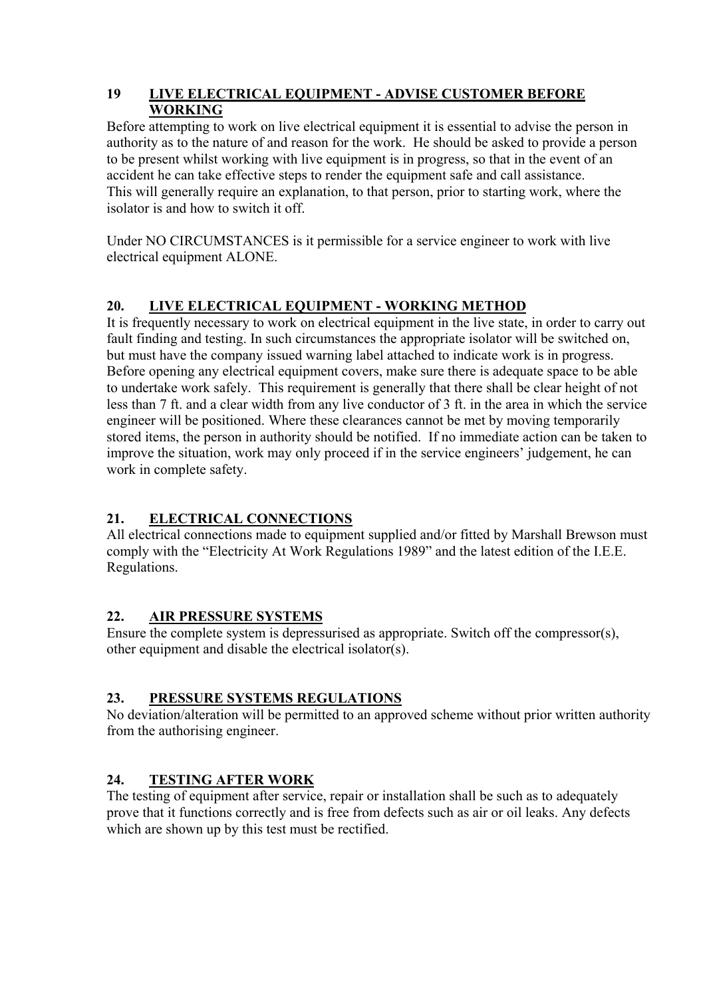#### **19 LIVE ELECTRICAL EQUIPMENT - ADVISE CUSTOMER BEFORE WORKING**

Before attempting to work on live electrical equipment it is essential to advise the person in authority as to the nature of and reason for the work. He should be asked to provide a person to be present whilst working with live equipment is in progress, so that in the event of an accident he can take effective steps to render the equipment safe and call assistance. This will generally require an explanation, to that person, prior to starting work, where the isolator is and how to switch it off.

Under NO CIRCUMSTANCES is it permissible for a service engineer to work with live electrical equipment ALONE.

# **20. LIVE ELECTRICAL EQUIPMENT - WORKING METHOD**

It is frequently necessary to work on electrical equipment in the live state, in order to carry out fault finding and testing. In such circumstances the appropriate isolator will be switched on, but must have the company issued warning label attached to indicate work is in progress. Before opening any electrical equipment covers, make sure there is adequate space to be able to undertake work safely. This requirement is generally that there shall be clear height of not less than 7 ft. and a clear width from any live conductor of 3 ft. in the area in which the service engineer will be positioned. Where these clearances cannot be met by moving temporarily stored items, the person in authority should be notified. If no immediate action can be taken to improve the situation, work may only proceed if in the service engineers' judgement, he can work in complete safety.

# **21. ELECTRICAL CONNECTIONS**

All electrical connections made to equipment supplied and/or fitted by Marshall Brewson must comply with the "Electricity At Work Regulations 1989" and the latest edition of the I.E.E. Regulations.

# **22. AIR PRESSURE SYSTEMS**

Ensure the complete system is depressurised as appropriate. Switch off the compressor(s), other equipment and disable the electrical isolator(s).

# **23. PRESSURE SYSTEMS REGULATIONS**

No deviation/alteration will be permitted to an approved scheme without prior written authority from the authorising engineer.

# **24. TESTING AFTER WORK**

The testing of equipment after service, repair or installation shall be such as to adequately prove that it functions correctly and is free from defects such as air or oil leaks. Any defects which are shown up by this test must be rectified.